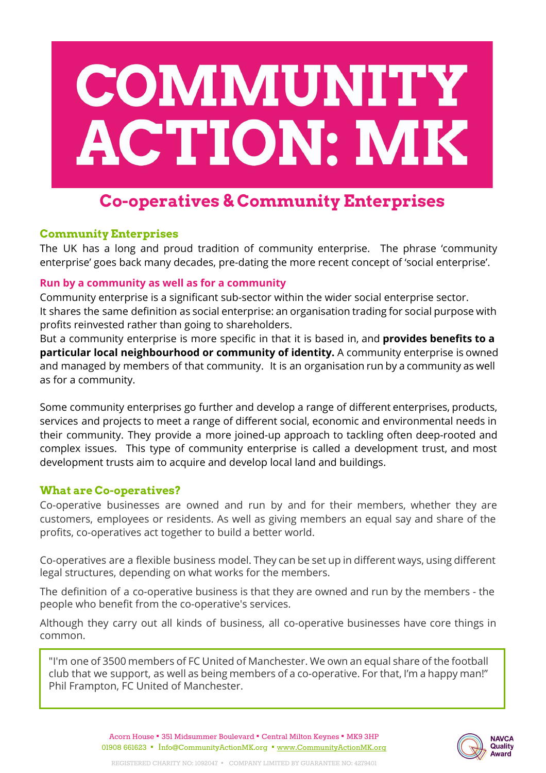

# **Co-operatives & Community Enterprises**

## **Community Enterprises**

The UK has a long and proud tradition of community enterprise. The phrase 'community enterprise' goes back many decades, pre-dating the more recent concept of 'social enterprise'.

## **Run by a community as well as for a community**

Community enterprise is a significant sub-sector within the wider social enterprise sector. It shares the same definition as social enterprise: an organisation trading for social purpose with profits reinvested rather than going to shareholders.

But a community enterprise is more specific in that it is based in, and **provides benefits to a particular local neighbourhood or community of identity.** A community enterprise is owned and managed by members of that community. It is an organisation run by a community as well as for a community.

Some community enterprises go further and develop a range of different enterprises, products, services and projects to meet a range of different social, economic and environmental needs in their community. They provide a more joined-up approach to tackling often deep-rooted and complex issues. This type of community enterprise is called a development trust, and most development trusts aim to acquire and develop local land and buildings.

# **What are Co-operatives?**

Co-operative businesses are owned and run by and for their members, whether they are customers, employees or residents. As well as giving members an equal say and share of the profits, co-operatives act together to build a better world.

Co-operatives are a flexible business model. They can be set up in different ways, using different legal structures, depending on what works for the members.

The definition of a co-operative business is that they are owned and run by the members - the people who benefit from the co-operative's services.

Although they carry out all kinds of business, all co-operative businesses have core things in common.

"I'm one of 3500 members of FC United of Manchester. We own an equal share of the football club that we support, as well as being members of a co-operative. For that, I'm a happy man!" Phil Frampton, FC United of Manchester.

> Acorn House ▪ 351 Midsummer Boulevard ▪ Central Milton Keynes ▪ MK9 3HP 01908 661623 ▪ Info@CommunityActionMK.org ▪ [www.CommunityActionMK.org](http://www.communityactionmk.org/)